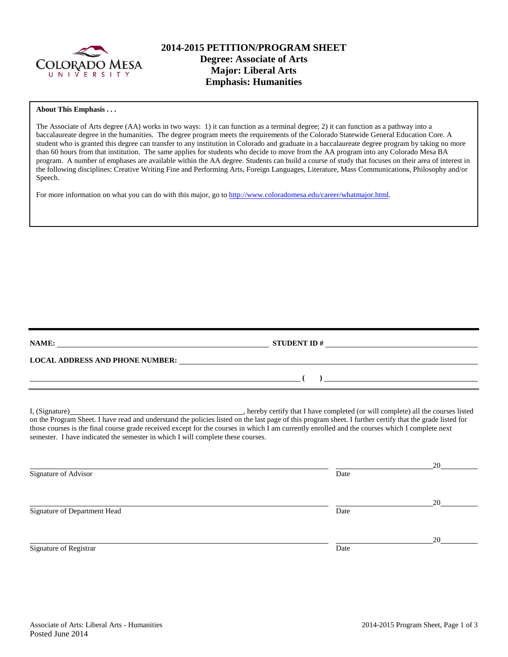

# **2014-2015 PETITION/PROGRAM SHEET Degree: Associate of Arts Major: Liberal Arts Emphasis: Humanities**

#### **About This Emphasis . . .**

The Associate of Arts degree (AA) works in two ways: 1) it can function as a terminal degree; 2) it can function as a pathway into a baccalaureate degree in the humanities. The degree program meets the requirements of the Colorado Statewide General Education Core. A student who is granted this degree can transfer to any institution in Colorado and graduate in a baccalaureate degree program by taking no more than 60 hours from that institution. The same applies for students who decide to move from the AA program into any Colorado Mesa BA program. A number of emphases are available within the AA degree. Students can build a course of study that focuses on their area of interest in the following disciplines: Creative Writing Fine and Performing Arts, Foreign Languages, Literature, Mass Communications, Philosophy and/or Speech.

For more information on what you can do with this major, go to [http://www.coloradomesa.edu/career/whatmajor.html.](http://www.coloradomesa.edu/career/whatmajor.html)

|                                                                                                                                                                                                                               | STUDENT ID $\#$                                                                                                                                                                                                                                                                                            |    |
|-------------------------------------------------------------------------------------------------------------------------------------------------------------------------------------------------------------------------------|------------------------------------------------------------------------------------------------------------------------------------------------------------------------------------------------------------------------------------------------------------------------------------------------------------|----|
| LOCAL ADDRESS AND PHONE NUMBER: University of the contract of the contract of the contract of the contract of the contract of the contract of the contract of the contract of the contract of the contract of the contract of |                                                                                                                                                                                                                                                                                                            |    |
|                                                                                                                                                                                                                               | $\overline{a}$ (b) and the contract of $\overline{a}$ (c) and the contract of $\overline{a}$ (c) and the contract of $\overline{a}$                                                                                                                                                                        |    |
| semester. I have indicated the semester in which I will complete these courses.                                                                                                                                               | on the Program Sheet. I have read and understand the policies listed on the last page of this program sheet. I further certify that the grade listed for<br>those courses is the final course grade received except for the courses in which I am currently enrolled and the courses which I complete next |    |
| Signature of Advisor                                                                                                                                                                                                          | Date                                                                                                                                                                                                                                                                                                       | 20 |
| Signature of Department Head                                                                                                                                                                                                  | Date                                                                                                                                                                                                                                                                                                       | 20 |
| Signature of Registrar                                                                                                                                                                                                        | Date                                                                                                                                                                                                                                                                                                       | 20 |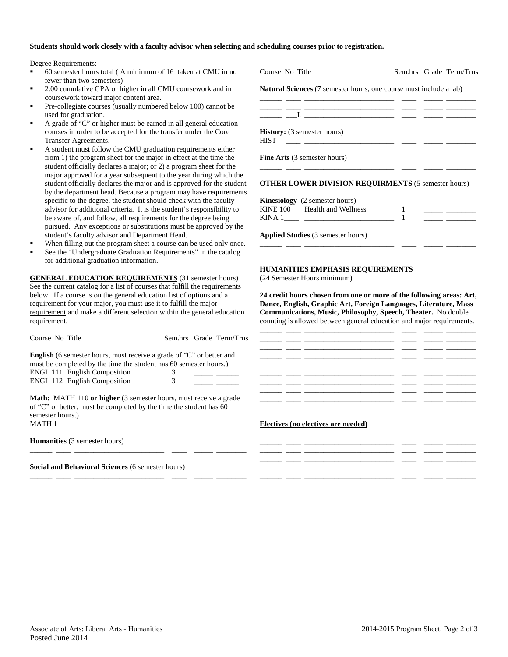#### **Students should work closely with a faculty advisor when selecting and scheduling courses prior to registration.**

 $\mathbf{I}$ 

Degree Requirements:

- 60 semester hours total ( A minimum of 16 taken at CMU in no fewer than two semesters)
- 2.00 cumulative GPA or higher in all CMU coursework and in coursework toward major content area.
- Pre-collegiate courses (usually numbered below 100) cannot be used for graduation.
- A grade of "C" or higher must be earned in all general education courses in order to be accepted for the transfer under the Core Transfer Agreements.
- A student must follow the CMU graduation requirements either from 1) the program sheet for the major in effect at the time the student officially declares a major; or 2) a program sheet for the major approved for a year subsequent to the year during which the student officially declares the major and is approved for the student by the department head. Because a program may have requirements specific to the degree, the student should check with the faculty advisor for additional criteria. It is the student's responsibility to be aware of, and follow, all requirements for the degree being pursued. Any exceptions or substitutions must be approved by the student's faculty advisor and Department Head.
- When filling out the program sheet a course can be used only once.
- See the "Undergraduate Graduation Requirements" in the catalog for additional graduation information.

**GENERAL EDUCATION REQUIREMENTS** (31 semester hours) See the current catalog for a list of courses that fulfill the requirements below. If a course is on the general education list of options and a requirement for your major, you must use it to fulfill the major requirement and make a different selection within the general education requirement.

| Course No Title                                                                                                                                                             |  | Sem.hrs Grade Term/Trns |
|-----------------------------------------------------------------------------------------------------------------------------------------------------------------------------|--|-------------------------|
| <b>English</b> (6 semester hours, must receive a grade of "C" or better and<br>must be completed by the time the student has 60 semester hours.)                            |  |                         |
| <b>ENGL 111 English Composition</b>                                                                                                                                         |  |                         |
| <b>ENGL 112 English Composition</b>                                                                                                                                         |  |                         |
| <b>Math:</b> MATH 110 or higher (3 semester hours, must receive a grade<br>of "C" or better, must be completed by the time the student has 60<br>semester hours.)<br>MATH 1 |  |                         |

\_\_\_\_\_\_ \_\_\_\_ \_\_\_\_\_\_\_\_\_\_\_\_\_\_\_\_\_\_\_\_\_\_\_\_ \_\_\_\_ \_\_\_\_\_ \_\_\_\_\_\_\_\_

\_\_\_\_\_\_ \_\_\_\_ \_\_\_\_\_\_\_\_\_\_\_\_\_\_\_\_\_\_\_\_\_\_\_\_ \_\_\_\_ \_\_\_\_\_ \_\_\_\_\_\_\_\_ \_\_\_\_\_\_ \_\_\_\_ \_\_\_\_\_\_\_\_\_\_\_\_\_\_\_\_\_\_\_\_\_\_\_\_ \_\_\_\_ \_\_\_\_\_ \_\_\_\_\_\_\_\_

**Humanities** (3 semester hours)

**Social and Behavioral Sciences** (6 semester hours)

| Course No Title                                                           | Sem.hrs Grade Term/Trns |
|---------------------------------------------------------------------------|-------------------------|
| <b>Natural Sciences</b> (7 semester hours, one course must include a lab) |                         |
|                                                                           |                         |
|                                                                           |                         |
| <b>History:</b> (3 semester hours)<br><b>HIST</b>                         |                         |
| <b>Fine Arts</b> (3 semester hours)                                       |                         |
| <b>OTHER LOWER DIVISION REQUIRMENTS (5 semester hours)</b>                |                         |
| <b>Kinesiology</b> (2 semester hours)                                     |                         |
| KINE 100 Health and Wellness                                              |                         |
| KINA 1                                                                    |                         |

**Applied Studies** (3 semester hours)

### **HUMANITIES EMPHASIS REQUIREMENTS**

(24 Semester Hours minimum)

**24 credit hours chosen from one or more of the following areas: Art, Dance, English, Graphic Art, Foreign Languages, Literature, Mass Communications, Music, Philosophy, Speech, Theater.** No double counting is allowed between general education and major requirements.

\_\_\_\_\_\_ \_\_\_\_ \_\_\_\_\_\_\_\_\_\_\_\_\_\_\_\_\_\_\_\_\_\_\_\_ \_\_\_\_ \_\_\_\_\_ \_\_\_\_\_\_\_\_

### **Electives (no electives are needed)**

| __________ |  | _____ | ______ | ________  |
|------------|--|-------|--------|-----------|
|            |  |       |        |           |
|            |  |       | ______ | _________ |
|            |  |       |        | _________ |